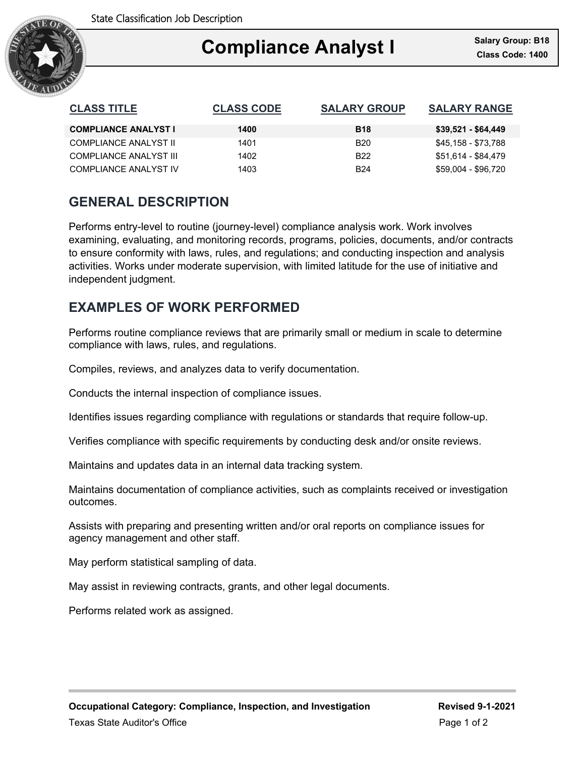

### Ξ **Compliance Analyst I**

| <b>CLASS TITLE</b>          | <b>CLASS CODE</b> | <b>SALARY GROUP</b> | <b>SALARY RANGE</b> |
|-----------------------------|-------------------|---------------------|---------------------|
| <b>COMPLIANCE ANALYST I</b> | 1400              | <b>B18</b>          | $$39,521 - $64,449$ |
| COMPLIANCE ANALYST II       | 1401              | B <sub>20</sub>     | \$45,158 - \$73,788 |
| COMPLIANCE ANALYST III      | 1402              | B <sub>22</sub>     | \$51.614 - \$84.479 |
| COMPLIANCE ANALYST IV       | 1403              | <b>B24</b>          | \$59,004 - \$96,720 |

## **GENERAL DESCRIPTION**

Performs entry-level to routine (journey-level) compliance analysis work. Work involves examining, evaluating, and monitoring records, programs, policies, documents, and/or contracts to ensure conformity with laws, rules, and regulations; and conducting inspection and analysis activities. Works under moderate supervision, with limited latitude for the use of initiative and independent judgment.

## **EXAMPLES OF WORK PERFORMED**

Performs routine compliance reviews that are primarily small or medium in scale to determine compliance with laws, rules, and regulations.

Compiles, reviews, and analyzes data to verify documentation.

Conducts the internal inspection of compliance issues.

Identifies issues regarding compliance with regulations or standards that require follow-up.

Verifies compliance with specific requirements by conducting desk and/or onsite reviews.

Maintains and updates data in an internal data tracking system.

Maintains documentation of compliance activities, such as complaints received or investigation outcomes.

Assists with preparing and presenting written and/or oral reports on compliance issues for agency management and other staff.

May perform statistical sampling of data.

May assist in reviewing contracts, grants, and other legal documents.

Performs related work as assigned.